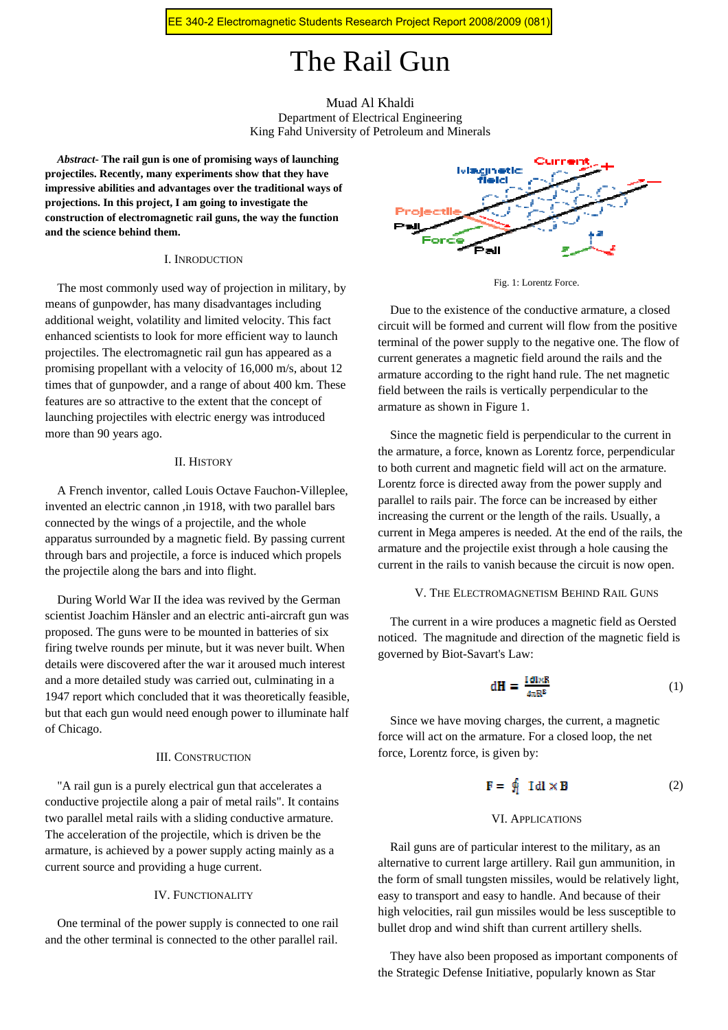# The Rail Gun

# Muad Al Khaldi Department of Electrical Engineering King Fahd University of Petroleum and Minerals

*Abstract***- The rail gun is one of promising ways of launching projectiles. Recently, many experiments show that they have impressive abilities and advantages over the traditional ways of projections. In this project, I am going to investigate the construction of electromagnetic rail guns, the way the function and the science behind them.** 

# I. INRODUCTION

The most commonly used way of projection in military, by means of gunpowder, has many disadvantages including additional weight, volatility and limited velocity. This fact enhanced scientists to look for more efficient way to launch projectiles. The electromagnetic rail gun has appeared as a promising propellant with a velocity of 16,000 m/s, about 12 times that of gunpowder, and a range of about 400 km. These features are so attractive to the extent that the concept of launching projectiles with electric energy was introduced more than 90 years ago.

# II. HISTORY

A French inventor, called Louis Octave Fauchon-Villeplee, invented an electric cannon ,in 1918, with two parallel bars connected by the wings of a projectile, and the whole apparatus surrounded by a magnetic field. By passing current through bars and projectile, a force is induced which propels the projectile along the bars and into flight.

During World War II the idea was revived by the German scientist Joachim Hänsler and an electric anti-aircraft gun was proposed. The guns were to be mounted in batteries of six firing twelve rounds per minute, but it was never built. When details were discovered after the war it aroused much interest and a more detailed study was carried out, culminating in a 1947 report which concluded that it was theoretically feasible, but that each gun would need enough power to illuminate half of Chicago.

# III. CONSTRUCTION

"A rail gun is a purely electrical gun that accelerates a conductive projectile along a pair of metal rails". It contains two parallel metal rails with a sliding conductive armature. The acceleration of the projectile, which is driven be the armature, is achieved by a power supply acting mainly as a current source and providing a huge current.

## IV. FUNCTIONALITY

One terminal of the power supply is connected to one rail and the other terminal is connected to the other parallel rail.



Fig. 1: Lorentz Force.

Due to the existence of the conductive armature, a closed circuit will be formed and current will flow from the positive terminal of the power supply to the negative one. The flow of current generates a magnetic field around the rails and the armature according to the right hand rule. The net magnetic field between the rails is vertically perpendicular to the armature as shown in Figure 1.

Since the magnetic field is perpendicular to the current in the armature, a force, known as Lorentz force, perpendicular to both current and magnetic field will act on the armature. Lorentz force is directed away from the power supply and parallel to rails pair. The force can be increased by either increasing the current or the length of the rails. Usually, a current in Mega amperes is needed. At the end of the rails, the armature and the projectile exist through a hole causing the current in the rails to vanish because the circuit is now open.

#### V. THE ELECTROMAGNETISM BEHIND RAIL GUNS

The current in a wire produces a magnetic field as Oersted noticed. The magnitude and direction of the magnetic field is governed by Biot-Savart's Law:

$$
dH = \frac{IdkR}{4\pi R^2}
$$
 (1)

Since we have moving charges, the current, a magnetic force will act on the armature. For a closed loop, the net force, Lorentz force, is given by:

$$
\mathbf{F} = \oint_1 \mathbf{Id} \mathbf{I} \mathbf{d} \mathbf{I} \times \mathbf{B} \tag{2}
$$

## VI. APPLICATIONS

Rail guns are of particular interest to the military, as an alternative to current large artillery. Rail gun ammunition, in the form of small tungsten missiles, would be relatively light, easy to transport and easy to handle. And because of their high velocities, rail gun missiles would be less susceptible to bullet drop and wind shift than current artillery shells.

They have also been proposed as important components of the Strategic Defense Initiative, popularly known as Star